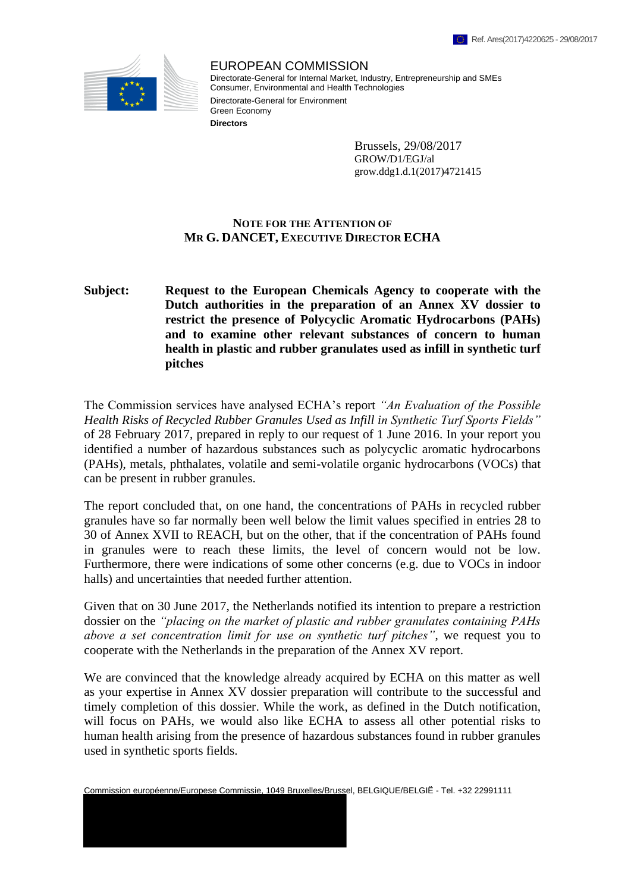

EUROPEAN COMMISSION Directorate-General for Internal Market, Industry, Entrepreneurship and SMEs Consumer, Environmental and Health Technologies Directorate-General for Environment Green Economy **Directors**

> Brussels, 29/08/2017 GROW/D1/EGJ/al grow.ddg1.d.1(2017)4721415

## **NOTE FOR THE ATTENTION OF MR G. DANCET, EXECUTIVE DIRECTOR ECHA**

## **Subject: Request to the European Chemicals Agency to cooperate with the Dutch authorities in the preparation of an Annex XV dossier to restrict the presence of Polycyclic Aromatic Hydrocarbons (PAHs) and to examine other relevant substances of concern to human health in plastic and rubber granulates used as infill in synthetic turf pitches**

The Commission services have analysed ECHA's report *"An Evaluation of the Possible Health Risks of Recycled Rubber Granules Used as Infill in Synthetic Turf Sports Fields"* of 28 February 2017, prepared in reply to our request of 1 June 2016. In your report you identified a number of hazardous substances such as polycyclic aromatic hydrocarbons (PAHs), metals, phthalates, volatile and semi-volatile organic hydrocarbons (VOCs) that can be present in rubber granules.

The report concluded that, on one hand, the concentrations of PAHs in recycled rubber granules have so far normally been well below the limit values specified in entries 28 to 30 of Annex XVII to REACH, but on the other, that if the concentration of PAHs found in granules were to reach these limits, the level of concern would not be low. Furthermore, there were indications of some other concerns (e.g. due to VOCs in indoor halls) and uncertainties that needed further attention.

Given that on 30 June 2017, the Netherlands notified its intention to prepare a restriction dossier on the *"placing on the market of plastic and rubber granulates containing PAHs above a set concentration limit for use on synthetic turf pitches"*, we request you to cooperate with the Netherlands in the preparation of the Annex XV report.

We are convinced that the knowledge already acquired by ECHA on this matter as well as your expertise in Annex XV dossier preparation will contribute to the successful and timely completion of this dossier. While the work, as defined in the Dutch notification, will focus on PAHs, we would also like ECHA to assess all other potential risks to human health arising from the presence of hazardous substances found in rubber granules used in synthetic sports fields.

Commission européenne/Europese Commissie, 1049 Bruxelles/Brussel, BELGIQUE/BELGIË - Tel. +32 22991111